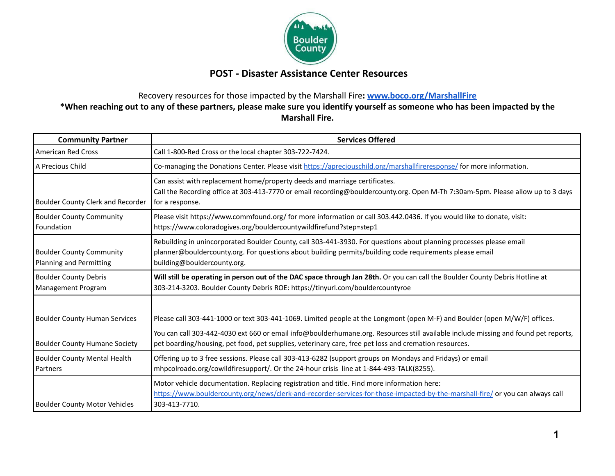

## **POST - Disaster Assistance Center Resources**

## Recovery resources for those impacted by the Marshall Fire**: [www.boco.org/MarshallFire](http://www.boco.org/MarshallFire) \*When reaching out to any of these partners, please make sure you identify yourself as someone who has been impacted by the Marshall Fire.**

| <b>Community Partner</b>                                   | <b>Services Offered</b>                                                                                                                                                                                                                                       |
|------------------------------------------------------------|---------------------------------------------------------------------------------------------------------------------------------------------------------------------------------------------------------------------------------------------------------------|
| American Red Cross                                         | Call 1-800-Red Cross or the local chapter 303-722-7424.                                                                                                                                                                                                       |
| A Precious Child                                           | Co-managing the Donations Center. Please visit https://apreciouschild.org/marshallfireresponse/ for more information.                                                                                                                                         |
| Boulder County Clerk and Recorder                          | Can assist with replacement home/property deeds and marriage certificates.<br>Call the Recording office at 303-413-7770 or email recording@bouldercounty.org. Open M-Th 7:30am-5pm. Please allow up to 3 days<br>for a response.                              |
| <b>Boulder County Community</b><br>Foundation              | Please visit https://www.commfound.org/ for more information or call 303.442.0436. If you would like to donate, visit:<br>https://www.coloradogives.org/bouldercountywildfirefund?step=step1                                                                  |
| <b>Boulder County Community</b><br>Planning and Permitting | Rebuilding in unincorporated Boulder County, call 303-441-3930. For questions about planning processes please email<br>planner@bouldercounty.org. For questions about building permits/building code requirements please email<br>building@bouldercounty.org. |
| <b>Boulder County Debris</b><br>Management Program         | Will still be operating in person out of the DAC space through Jan 28th. Or you can call the Boulder County Debris Hotline at<br>303-214-3203. Boulder County Debris ROE: https://tinyurl.com/bouldercountyroe                                                |
| <b>Boulder County Human Services</b>                       | Please call 303-441-1000 or text 303-441-1069. Limited people at the Longmont (open M-F) and Boulder (open M/W/F) offices.                                                                                                                                    |
| <b>Boulder County Humane Society</b>                       | You can call 303-442-4030 ext 660 or email info@boulderhumane.org. Resources still available include missing and found pet reports,<br>pet boarding/housing, pet food, pet supplies, veterinary care, free pet loss and cremation resources.                  |
| <b>Boulder County Mental Health</b><br>Partners            | Offering up to 3 free sessions. Please call 303-413-6282 (support groups on Mondays and Fridays) or email<br>mhpcolroado.org/cowildfiresupport/. Or the 24-hour crisis line at 1-844-493-TALK(8255).                                                          |
| <b>Boulder County Motor Vehicles</b>                       | Motor vehicle documentation. Replacing registration and title. Find more information here:<br>https://www.bouldercounty.org/news/clerk-and-recorder-services-for-those-impacted-by-the-marshall-fire/ or you can always call<br>303-413-7710.                 |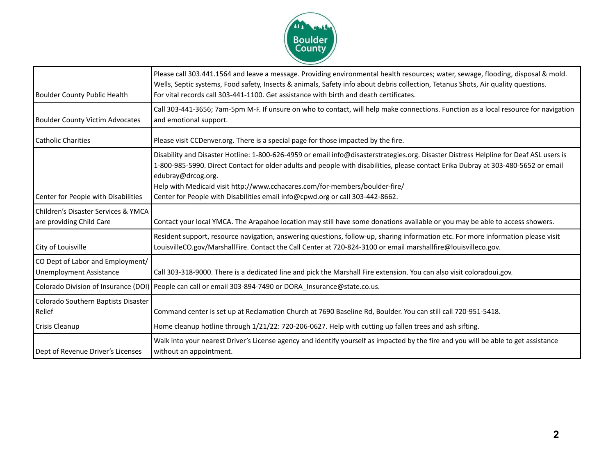

| <b>Boulder County Public Health</b>                                | Please call 303.441.1564 and leave a message. Providing environmental health resources; water, sewage, flooding, disposal & mold.<br>Wells, Septic systems, Food safety, Insects & animals, Safety info about debris collection, Tetanus Shots, Air quality questions.<br>For vital records call 303-441-1100. Get assistance with birth and death certificates.                                                                                                   |
|--------------------------------------------------------------------|--------------------------------------------------------------------------------------------------------------------------------------------------------------------------------------------------------------------------------------------------------------------------------------------------------------------------------------------------------------------------------------------------------------------------------------------------------------------|
| <b>Boulder County Victim Advocates</b>                             | Call 303-441-3656; 7am-5pm M-F. If unsure on who to contact, will help make connections. Function as a local resource for navigation<br>and emotional support.                                                                                                                                                                                                                                                                                                     |
| <b>Catholic Charities</b>                                          | Please visit CCDenver.org. There is a special page for those impacted by the fire.                                                                                                                                                                                                                                                                                                                                                                                 |
| Center for People with Disabilities                                | Disability and Disaster Hotline: 1-800-626-4959 or email info@disasterstrategies.org. Disaster Distress Helpline for Deaf ASL users is<br>1-800-985-5990. Direct Contact for older adults and people with disabilities, please contact Erika Dubray at 303-480-5652 or email<br>edubray@drcog.org.<br>Help with Medicaid visit http://www.cchacares.com/for-members/boulder-fire/<br>Center for People with Disabilities email info@cpwd.org or call 303-442-8662. |
| Children's Disaster Services & YMCA<br>are providing Child Care    | Contact your local YMCA. The Arapahoe location may still have some donations available or you may be able to access showers.                                                                                                                                                                                                                                                                                                                                       |
| City of Louisville                                                 | Resident support, resource navigation, answering questions, follow-up, sharing information etc. For more information please visit<br>LouisvilleCO.gov/MarshallFire. Contact the Call Center at 720-824-3100 or email marshallfire@louisvilleco.gov.                                                                                                                                                                                                                |
| CO Dept of Labor and Employment/<br><b>Unemployment Assistance</b> | Call 303-318-9000. There is a dedicated line and pick the Marshall Fire extension. You can also visit coloradoui.gov.                                                                                                                                                                                                                                                                                                                                              |
| Colorado Division of Insurance (DOI)                               | People can call or email 303-894-7490 or DORA Insurance@state.co.us.                                                                                                                                                                                                                                                                                                                                                                                               |
| Colorado Southern Baptists Disaster<br>Relief                      | Command center is set up at Reclamation Church at 7690 Baseline Rd, Boulder. You can still call 720-951-5418.                                                                                                                                                                                                                                                                                                                                                      |
| Crisis Cleanup                                                     | Home cleanup hotline through 1/21/22: 720-206-0627. Help with cutting up fallen trees and ash sifting.                                                                                                                                                                                                                                                                                                                                                             |
| Dept of Revenue Driver's Licenses                                  | Walk into your nearest Driver's License agency and identify yourself as impacted by the fire and you will be able to get assistance<br>without an appointment.                                                                                                                                                                                                                                                                                                     |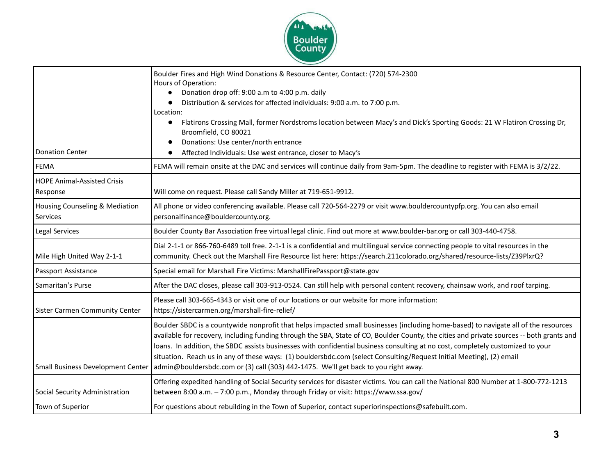

|                                            | Boulder Fires and High Wind Donations & Resource Center, Contact: (720) 574-2300                                                                                                                                                                                                                                                                                                                                                                                                                                                                                                                                                   |
|--------------------------------------------|------------------------------------------------------------------------------------------------------------------------------------------------------------------------------------------------------------------------------------------------------------------------------------------------------------------------------------------------------------------------------------------------------------------------------------------------------------------------------------------------------------------------------------------------------------------------------------------------------------------------------------|
|                                            | Hours of Operation:<br>Donation drop off: 9:00 a.m to 4:00 p.m. daily                                                                                                                                                                                                                                                                                                                                                                                                                                                                                                                                                              |
|                                            | Distribution & services for affected individuals: 9:00 a.m. to 7:00 p.m.                                                                                                                                                                                                                                                                                                                                                                                                                                                                                                                                                           |
|                                            | Location:                                                                                                                                                                                                                                                                                                                                                                                                                                                                                                                                                                                                                          |
|                                            | Flatirons Crossing Mall, former Nordstroms location between Macy's and Dick's Sporting Goods: 21 W Flatiron Crossing Dr,<br>Broomfield, CO 80021                                                                                                                                                                                                                                                                                                                                                                                                                                                                                   |
|                                            | Donations: Use center/north entrance                                                                                                                                                                                                                                                                                                                                                                                                                                                                                                                                                                                               |
| <b>Donation Center</b>                     | Affected Individuals: Use west entrance, closer to Macy's<br>$\bullet$                                                                                                                                                                                                                                                                                                                                                                                                                                                                                                                                                             |
| <b>FEMA</b>                                | FEMA will remain onsite at the DAC and services will continue daily from 9am-5pm. The deadline to register with FEMA is 3/2/22.                                                                                                                                                                                                                                                                                                                                                                                                                                                                                                    |
| <b>HOPE Animal-Assisted Crisis</b>         |                                                                                                                                                                                                                                                                                                                                                                                                                                                                                                                                                                                                                                    |
| Response                                   | Will come on request. Please call Sandy Miller at 719-651-9912.                                                                                                                                                                                                                                                                                                                                                                                                                                                                                                                                                                    |
| Housing Counseling & Mediation<br>Services | All phone or video conferencing available. Please call 720-564-2279 or visit www.bouldercountypfp.org. You can also email<br>personalfinance@bouldercounty.org.                                                                                                                                                                                                                                                                                                                                                                                                                                                                    |
| Legal Services                             | Boulder County Bar Association free virtual legal clinic. Find out more at www.boulder-bar.org or call 303-440-4758.                                                                                                                                                                                                                                                                                                                                                                                                                                                                                                               |
| Mile High United Way 2-1-1                 | Dial 2-1-1 or 866-760-6489 toll free. 2-1-1 is a confidential and multilingual service connecting people to vital resources in the<br>community. Check out the Marshall Fire Resource list here: https://search.211colorado.org/shared/resource-lists/Z39PlxrQ?                                                                                                                                                                                                                                                                                                                                                                    |
| Passport Assistance                        | Special email for Marshall Fire Victims: MarshallFirePassport@state.gov                                                                                                                                                                                                                                                                                                                                                                                                                                                                                                                                                            |
| Samaritan's Purse                          | After the DAC closes, please call 303-913-0524. Can still help with personal content recovery, chainsaw work, and roof tarping.                                                                                                                                                                                                                                                                                                                                                                                                                                                                                                    |
| Sister Carmen Community Center             | Please call 303-665-4343 or visit one of our locations or our website for more information:<br>https://sistercarmen.org/marshall-fire-relief/                                                                                                                                                                                                                                                                                                                                                                                                                                                                                      |
| Small Business Development Center          | Boulder SBDC is a countywide nonprofit that helps impacted small businesses (including home-based) to navigate all of the resources<br>available for recovery, including funding through the SBA, State of CO, Boulder County, the cities and private sources -- both grants and<br>loans. In addition, the SBDC assists businesses with confidential business consulting at no cost, completely customized to your<br>situation. Reach us in any of these ways: (1) bouldersbdc.com (select Consulting/Request Initial Meeting), (2) email<br>admin@bouldersbdc.com or (3) call (303) 442-1475. We'll get back to you right away. |
| Social Security Administration             | Offering expedited handling of Social Security services for disaster victims. You can call the National 800 Number at 1-800-772-1213<br>between 8:00 a.m. - 7:00 p.m., Monday through Friday or visit: https://www.ssa.gov/                                                                                                                                                                                                                                                                                                                                                                                                        |
| Town of Superior                           | For questions about rebuilding in the Town of Superior, contact superiorinspections@safebuilt.com.                                                                                                                                                                                                                                                                                                                                                                                                                                                                                                                                 |